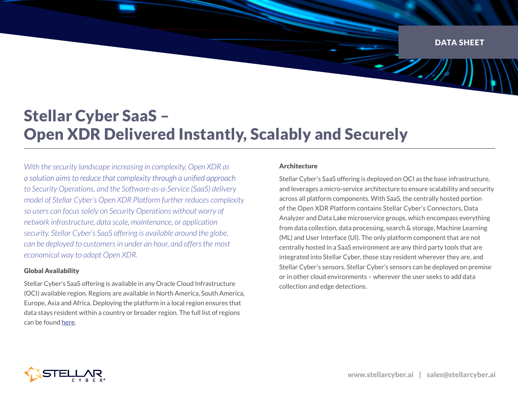DATA SHEET

D.),

# Stellar Cyber SaaS – Open XDR Delivered Instantly, Scalably and Securely

*With the security landscape increasing in complexity, Open XDR as*  a solution aims to reduce that complexity through a unified approach *to Security Operations, and the Software-as-a-Service (SaaS) delivery model of Stellar Cyber's Open XDR Platform further reduces complexity so users can focus solely on Security Operations without worry of network infrastructure, data scale, maintenance, or application security. Stellar Cyber's SaaS offering is available around the globe, can be deployed to customers in under an hour, and offers the most economical way to adopt Open XDR.* 

# Global Availability

Stellar Cyber's SaaS offering is available in any Oracle Cloud Infrastructure (OCI) available region. Regions are available in North America, South America, Europe, Asia and Africa. Deploying the platform in a local region ensures that data stays resident within a country or broader region. The full list of regions can be found [here](https://www.oracle.com/cloud/cloud-regions/data-regions/).

## Architecture

Stellar Cyber's SaaS offering is deployed on OCI as the base infrastructure, and leverages a micro-service architecture to ensure scalability and security across all platform components. With SaaS, the centrally hosted portion of the Open XDR Platform contains Stellar Cyber's Connectors, Data Analyzer and Data Lake microservice groups, which encompass everything from data collection, data processing, search & storage, Machine Learning (ML) and User Interface (UI). The only platform component that are not centrally hosted in a SaaS environment are any third party tools that are integrated into Stellar Cyber, those stay resident wherever they are, and Stellar Cyber's sensors. Stellar Cyber's sensors can be deployed on premise or in other cloud environments – wherever the user seeks to add data collection and edge detections.